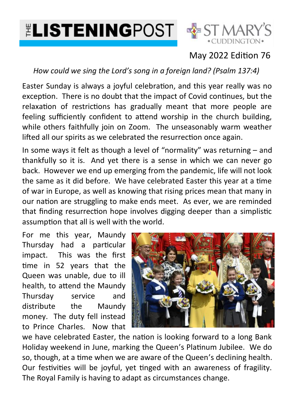



## May 2022 Edition 76

*How could we sing the Lord's song in a foreign land? (Psalm 137:4)*

Easter Sunday is always a joyful celebration, and this year really was no exception. There is no doubt that the impact of Covid continues, but the relaxation of restrictions has gradually meant that more people are feeling sufficiently confident to attend worship in the church building, while others faithfully join on Zoom. The unseasonably warm weather lifted all our spirits as we celebrated the resurrection once again.

In some ways it felt as though a level of "normality" was returning – and thankfully so it is. And yet there is a sense in which we can never go back. However we end up emerging from the pandemic, life will not look the same as it did before. We have celebrated Easter this year at a time of war in Europe, as well as knowing that rising prices mean that many in our nation are struggling to make ends meet. As ever, we are reminded that finding resurrection hope involves digging deeper than a simplistic assumption that all is well with the world.

For me this year, Maundy Thursday had a particular impact. This was the first time in 52 years that the Queen was unable, due to ill health, to attend the Maundy Thursday service and distribute the Maundy money. The duty fell instead to Prince Charles. Now that



we have celebrated Easter, the nation is looking forward to a long Bank Holiday weekend in June, marking the Queen's Platinum Jubilee. We do so, though, at a time when we are aware of the Queen's declining health. Our festivities will be joyful, yet tinged with an awareness of fragility. The Royal Family is having to adapt as circumstances change.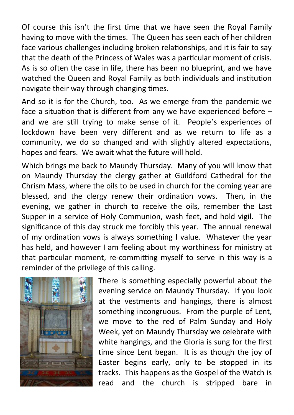Of course this isn't the first time that we have seen the Royal Family having to move with the times. The Queen has seen each of her children face various challenges including broken relationships, and it is fair to say that the death of the Princess of Wales was a particular moment of crisis. As is so often the case in life, there has been no blueprint, and we have watched the Queen and Royal Family as both individuals and institution navigate their way through changing times.

And so it is for the Church, too. As we emerge from the pandemic we face a situation that is different from any we have experienced before – and we are still trying to make sense of it. People's experiences of lockdown have been very different and as we return to life as a community, we do so changed and with slightly altered expectations, hopes and fears. We await what the future will hold.

Which brings me back to Maundy Thursday. Many of you will know that on Maundy Thursday the clergy gather at Guildford Cathedral for the Chrism Mass, where the oils to be used in church for the coming year are blessed, and the clergy renew their ordination vows. Then, in the evening, we gather in church to receive the oils, remember the Last Supper in a service of Holy Communion, wash feet, and hold vigil. The significance of this day struck me forcibly this year. The annual renewal of my ordination vows is always something I value. Whatever the year has held, and however I am feeling about my worthiness for ministry at that particular moment, re-committing myself to serve in this way is a reminder of the privilege of this calling.



There is something especially powerful about the evening service on Maundy Thursday. If you look at the vestments and hangings, there is almost something incongruous. From the purple of Lent, we move to the red of Palm Sunday and Holy Week, yet on Maundy Thursday we celebrate with white hangings, and the Gloria is sung for the first time since Lent began. It is as though the joy of Easter begins early, only to be stopped in its tracks. This happens as the Gospel of the Watch is read and the church is stripped bare in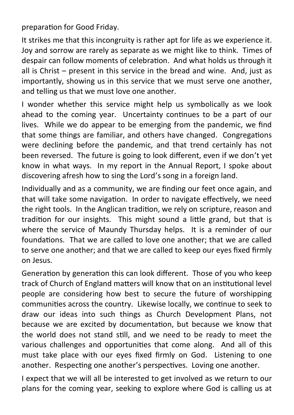preparation for Good Friday.

It strikes me that this incongruity is rather apt for life as we experience it. Joy and sorrow are rarely as separate as we might like to think. Times of despair can follow moments of celebration. And what holds us through it all is Christ – present in this service in the bread and wine. And, just as importantly, showing us in this service that we must serve one another, and telling us that we must love one another.

I wonder whether this service might help us symbolically as we look ahead to the coming year. Uncertainty continues to be a part of our lives. While we do appear to be emerging from the pandemic, we find that some things are familiar, and others have changed. Congregations were declining before the pandemic, and that trend certainly has not been reversed. The future is going to look different, even if we don't yet know in what ways. In my report in the Annual Report, I spoke about discovering afresh how to sing the Lord's song in a foreign land.

Individually and as a community, we are finding our feet once again, and that will take some navigation. In order to navigate effectively, we need the right tools. In the Anglican tradition, we rely on scripture, reason and tradition for our insights. This might sound a little grand, but that is where the service of Maundy Thursday helps. It is a reminder of our foundations. That we are called to love one another; that we are called to serve one another; and that we are called to keep our eyes fixed firmly on Jesus.

Generation by generation this can look different. Those of you who keep track of Church of England matters will know that on an institutional level people are considering how best to secure the future of worshipping communities across the country. Likewise locally, we continue to seek to draw our ideas into such things as Church Development Plans, not because we are excited by documentation, but because we know that the world does not stand still, and we need to be ready to meet the various challenges and opportunities that come along. And all of this must take place with our eyes fixed firmly on God. Listening to one another. Respecting one another's perspectives. Loving one another.

I expect that we will all be interested to get involved as we return to our plans for the coming year, seeking to explore where God is calling us at